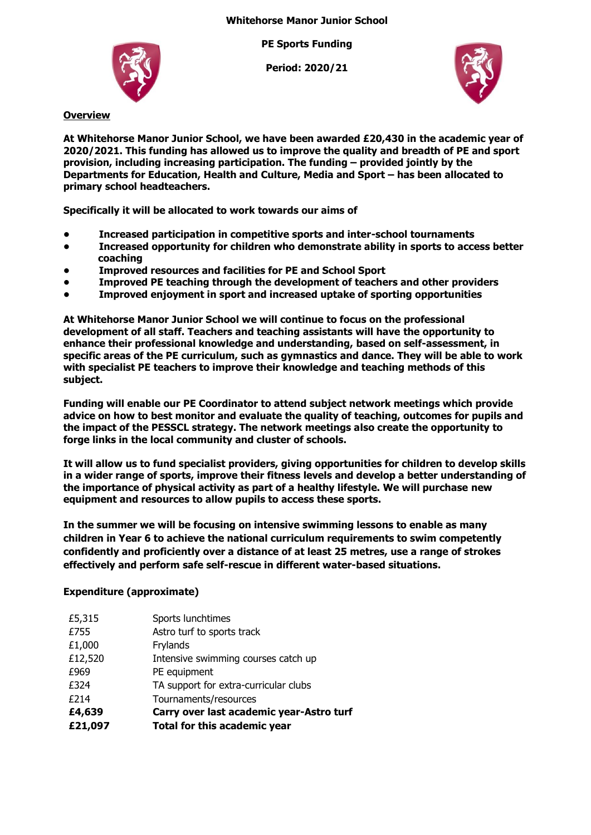**PE Sports Funding**

**Period: 2020/21**



**Overview**

**At Whitehorse Manor Junior School, we have been awarded £20,430 in the academic year of 2020/2021. This funding has allowed us to improve the quality and breadth of PE and sport provision, including increasing participation. The funding – provided jointly by the Departments for Education, Health and Culture, Media and Sport – has been allocated to primary school headteachers.**

**Specifically it will be allocated to work towards our aims of** 

- **• Increased participation in competitive sports and inter-school tournaments**
- **• Increased opportunity for children who demonstrate ability in sports to access better coaching**
- **• Improved resources and facilities for PE and School Sport**
- **• Improved PE teaching through the development of teachers and other providers**
- **• Improved enjoyment in sport and increased uptake of sporting opportunities**

**At Whitehorse Manor Junior School we will continue to focus on the professional development of all staff. Teachers and teaching assistants will have the opportunity to enhance their professional knowledge and understanding, based on self-assessment, in specific areas of the PE curriculum, such as gymnastics and dance. They will be able to work with specialist PE teachers to improve their knowledge and teaching methods of this subject.**

**Funding will enable our PE Coordinator to attend subject network meetings which provide advice on how to best monitor and evaluate the quality of teaching, outcomes for pupils and the impact of the PESSCL strategy. The network meetings also create the opportunity to forge links in the local community and cluster of schools.**

**It will allow us to fund specialist providers, giving opportunities for children to develop skills in a wider range of sports, improve their fitness levels and develop a better understanding of the importance of physical activity as part of a healthy lifestyle. We will purchase new equipment and resources to allow pupils to access these sports.**

**In the summer we will be focusing on intensive swimming lessons to enable as many children in Year 6 to achieve the national curriculum requirements to swim competently confidently and proficiently over a distance of at least 25 metres, use a range of strokes effectively and perform safe self-rescue in different water-based situations.**

## **Expenditure (approximate)**

| £5,315  | Sports lunchtimes                        |
|---------|------------------------------------------|
| £755    | Astro turf to sports track               |
| £1,000  | Frylands                                 |
| £12,520 | Intensive swimming courses catch up      |
| £969    | PE equipment                             |
| £324    | TA support for extra-curricular clubs    |
| £214    | Tournaments/resources                    |
| £4,639  | Carry over last academic year-Astro turf |
| £21,097 | Total for this academic year             |